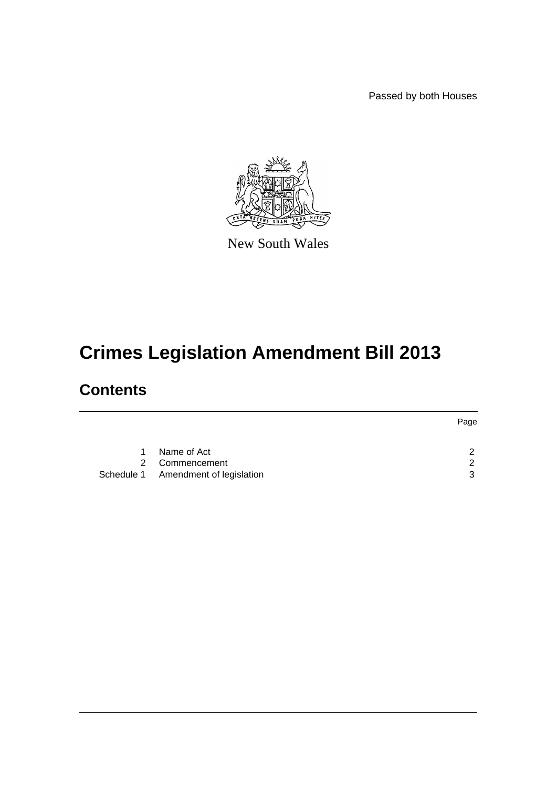Passed by both Houses



New South Wales

# **Crimes Legislation Amendment Bill 2013**

# **Contents**

|   |                                     | Page |
|---|-------------------------------------|------|
|   |                                     |      |
| 1 | Name of Act                         | ົ    |
|   | 2 Commencement                      | ົ    |
|   | Schedule 1 Amendment of legislation | ঽ    |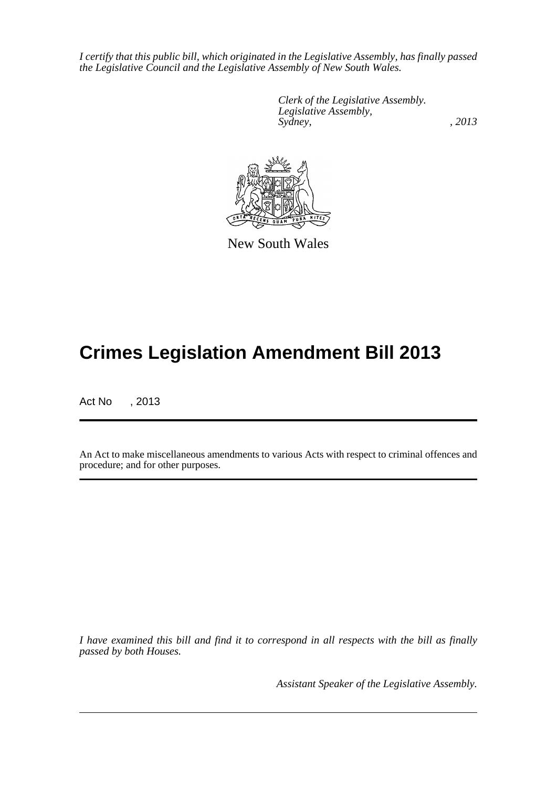*I certify that this public bill, which originated in the Legislative Assembly, has finally passed the Legislative Council and the Legislative Assembly of New South Wales.*

> *Clerk of the Legislative Assembly. Legislative Assembly, Sydney, , 2013*



New South Wales

# **Crimes Legislation Amendment Bill 2013**

Act No , 2013

An Act to make miscellaneous amendments to various Acts with respect to criminal offences and procedure; and for other purposes.

*I have examined this bill and find it to correspond in all respects with the bill as finally passed by both Houses.*

*Assistant Speaker of the Legislative Assembly.*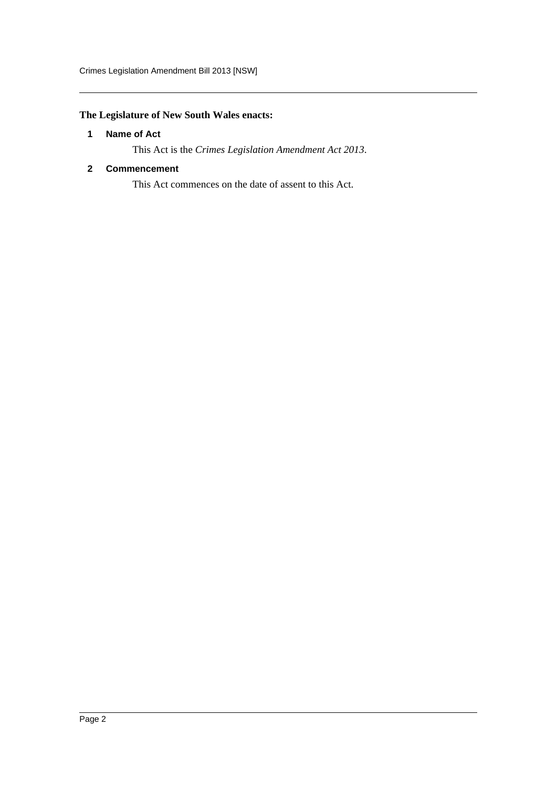### <span id="page-2-0"></span>**The Legislature of New South Wales enacts:**

#### **1 Name of Act**

This Act is the *Crimes Legislation Amendment Act 2013*.

#### <span id="page-2-1"></span>**2 Commencement**

This Act commences on the date of assent to this Act.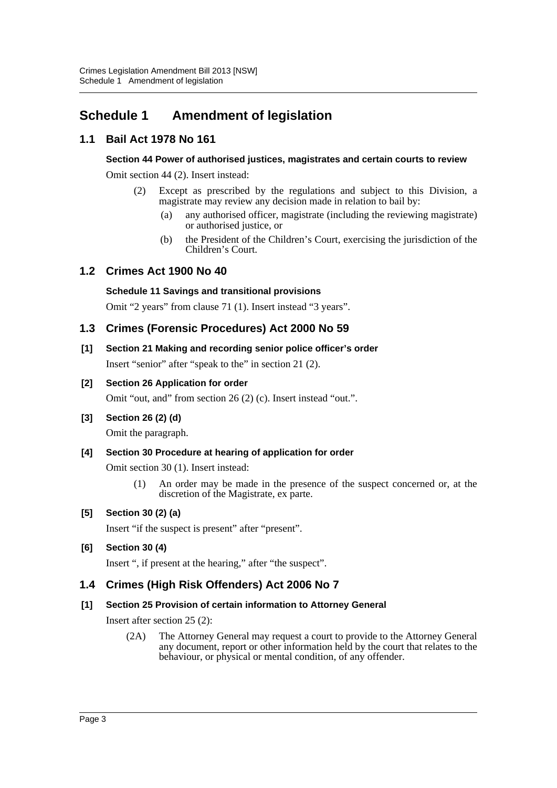## <span id="page-3-0"></span>**Schedule 1 Amendment of legislation**

### **1.1 Bail Act 1978 No 161**

#### **Section 44 Power of authorised justices, magistrates and certain courts to review**

Omit section 44 (2). Insert instead:

- (2) Except as prescribed by the regulations and subject to this Division, a magistrate may review any decision made in relation to bail by:
	- (a) any authorised officer, magistrate (including the reviewing magistrate) or authorised justice, or
	- (b) the President of the Children's Court, exercising the jurisdiction of the Children's Court.

#### **1.2 Crimes Act 1900 No 40**

#### **Schedule 11 Savings and transitional provisions**

Omit "2 years" from clause 71 (1). Insert instead "3 years".

### **1.3 Crimes (Forensic Procedures) Act 2000 No 59**

# **[1] Section 21 Making and recording senior police officer's order**

Insert "senior" after "speak to the" in section 21 (2).

#### **[2] Section 26 Application for order**

Omit "out, and" from section 26 (2) (c). Insert instead "out.".

#### **[3] Section 26 (2) (d)**

Omit the paragraph.

#### **[4] Section 30 Procedure at hearing of application for order**

Omit section 30 (1). Insert instead:

(1) An order may be made in the presence of the suspect concerned or, at the discretion of the Magistrate, ex parte.

#### **[5] Section 30 (2) (a)**

Insert "if the suspect is present" after "present".

#### **[6] Section 30 (4)**

Insert ", if present at the hearing," after "the suspect".

### **1.4 Crimes (High Risk Offenders) Act 2006 No 7**

#### **[1] Section 25 Provision of certain information to Attorney General**

Insert after section 25 (2):

(2A) The Attorney General may request a court to provide to the Attorney General any document, report or other information held by the court that relates to the behaviour, or physical or mental condition, of any offender.